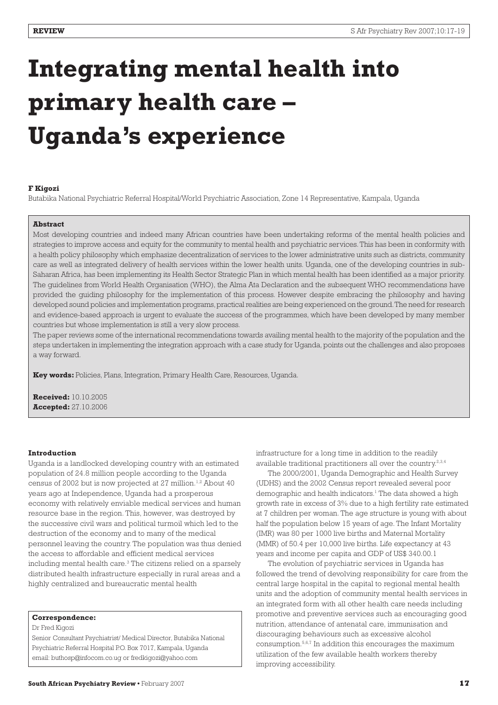# **Integrating mental health into primary health care – Uganda's experience**

#### **F Kigozi**

Butabika National Psychiatric Referral Hospital/World Psychiatric Association, Zone 14 Representative, Kampala, Uganda

#### **Abstract**

Most developing countries and indeed many African countries have been undertaking reforms of the mental health policies and strategies to improve access and equity for the community to mental health and psychiatric services. This has been in conformity with a health policy philosophy which emphasize decentralization of services to the lower administrative units such as districts, community care as well as integrated delivery of health services within the lower health units. Uganda, one of the developing countries in sub-Saharan Africa, has been implementing its Health Sector Strategic Plan in which mental health has been identified as a major priority. The guidelines from World Health Organisation (WHO), the Alma Ata Declaration and the subsequent WHO recommendations have provided the guiding philosophy for the implementation of this process. However despite embracing the philosophy and having developed sound policies and implementation programs, practical realities are being experienced on the ground. The need for research and evidence-based approach is urgent to evaluate the success of the programmes, which have been developed by many member countries but whose implementation is still a very slow process.

The paper reviews some of the international recommendations towards availing mental health to the majority of the population and the steps undertaken in implementing the integration approach with a case study for Uganda, points out the challenges and also proposes a way forward.

**Key words:** Policies, Plans, Integration, Primary Health Care, Resources, Uganda.

**Received:** 10.10.2005 **Accepted:** 27.10.2006

#### **Introduction**

Uganda is a landlocked developing country with an estimated population of 24.8 million people according to the Uganda census of 2002 but is now projected at 27 million.<sup>1,2</sup> About 40 years ago at Independence, Uganda had a prosperous economy with relatively enviable medical services and human resource base in the region. This, however, was destroyed by the successive civil wars and political turmoil which led to the destruction of the economy and to many of the medical personnel leaving the country. The population was thus denied the access to affordable and efficient medical services including mental health care.<sup>3</sup> The citizens relied on a sparsely distributed health infrastructure especially in rural areas and a highly centralized and bureaucratic mental health

#### **Correspondence:**

Dr Fred Kigozi

Senior Consultant Psychiatrist/ Medical Director, Butabika National Psychiatric Referral Hospital P.O. Box 7017, Kampala, Uganda email: buthosp@infocom.co.ug or fredkigozi@yahoo.com

infrastructure for a long time in addition to the readily available traditional practitioners all over the country.2,3,4

The 2000/2001, Uganda Demographic and Health Survey (UDHS) and the 2002 Census report revealed several poor demographic and health indicators.<sup>1</sup> The data showed a high growth rate in excess of 3% due to a high fertility rate estimated at 7 children per woman. The age structure is young with about half the population below 15 years of age. The Infant Mortality (IMR) was 80 per 1000 live births and Maternal Mortality (MMR) of 50.4 per 10,000 live births. Life expectancy at 43 years and income per capita and GDP of US\$ 340.00.1

The evolution of psychiatric services in Uganda has followed the trend of devolving responsibility for care from the central large hospital in the capital to regional mental health units and the adoption of community mental health services in an integrated form with all other health care needs including promotive and preventive services such as encouraging good nutrition, attendance of antenatal care, immunisation and discouraging behaviours such as excessive alcohol consumption.5,6,7 In addition this encourages the maximum utilization of the few available health workers thereby improving accessibility.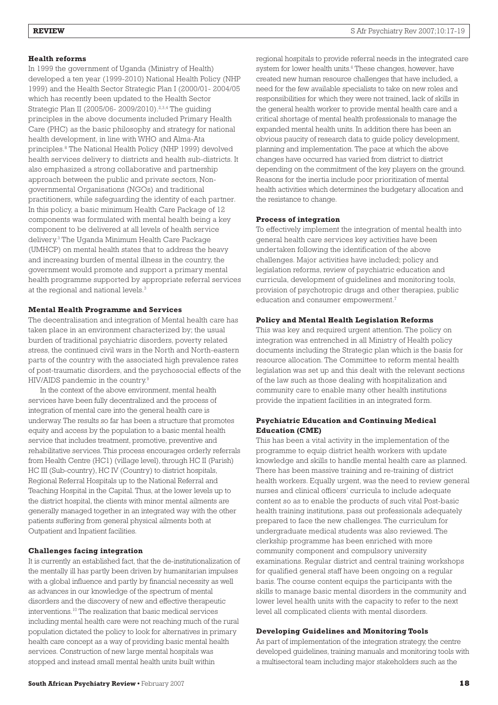# **Health reforms**

In 1999 the government of Uganda (Ministry of Health) developed a ten year (1999-2010) National Health Policy (NHP 1999) and the Health Sector Strategic Plan I (2000/01- 2004/05 which has recently been updated to the Health Sector Strategic Plan II (2005/06- 2009/2010).<sup>2,3,4</sup> The guiding principles in the above documents included Primary Health Care (PHC) as the basic philosophy and strategy for national health development, in line with WHO and Alma-Ata principles.8 The National Health Policy (NHP 1999) devolved health services delivery to districts and health sub-districts. It also emphasized a strong collaborative and partnership approach between the public and private sectors, Nongovernmental Organisations (NGOs) and traditional practitioners, while safeguarding the identity of each partner. In this policy, a basic minimum Health Care Package of 12 components was formulated with mental health being a key component to be delivered at all levels of health service delivery.3 The Uganda Minimum Health Care Package (UMHCP) on mental health states that to address the heavy and increasing burden of mental illness in the country, the government would promote and support a primary mental health programme supported by appropriate referral services at the regional and national levels.<sup>3</sup>

### **Mental Health Programme and Services**

The decentralisation and integration of Mental health care has taken place in an environment characterized by; the usual burden of traditional psychiatric disorders, poverty related stress, the continued civil wars in the North and North-eastern parts of the country with the associated high prevalence rates of post-traumatic disorders, and the psychosocial effects of the HIV/AIDS pandemic in the country.9

In the context of the above environment, mental health services have been fully decentralized and the process of integration of mental care into the general health care is underway. The results so far has been a structure that promotes equity and access by the population to a basic mental health service that includes treatment, promotive, preventive and rehabilitative services. This process encourages orderly referrals from Health Centre (HC1) (village level), through HC II (Parish) HC III (Sub-country), HC IV (Country) to district hospitals, Regional Referral Hospitals up to the National Referral and Teaching Hospital in the Capital. Thus, at the lower levels up to the district hospital, the clients with minor mental ailments are generally managed together in an integrated way with the other patients suffering from general physical ailments both at Outpatient and Inpatient facilities.

#### **Challenges facing integration**

It is currently an established fact, that the de-institutionalization of the mentally ill has partly been driven by humanitarian impulses with a global influence and partly by financial necessity as well as advances in our knowledge of the spectrum of mental disorders and the discovery of new and effective therapeutic interventions.10 The realization that basic medical services including mental health care were not reaching much of the rural population dictated the policy to look for alternatives in primary health care concept as a way of providing basic mental health services. Construction of new large mental hospitals was stopped and instead small mental health units built within

regional hospitals to provide referral needs in the integrated care system for lower health units.<sup>6</sup> These changes, however, have created new human resource challenges that have included, a need for the few available specialists to take on new roles and responsibilities for which they were not trained, lack of skills in the general health worker to provide mental health care and a critical shortage of mental health professionals to manage the expanded mental health units. In addition there has been an obvious paucity of research data to guide policy development, planning and implementation. The pace at which the above changes have occurred has varied from district to district depending on the commitment of the key players on the ground. Reasons for the inertia include poor prioritization of mental health activities which determines the budgetary allocation and the resistance to change.

#### **Process of integration**

To effectively implement the integration of mental health into general health care services key activities have been undertaken following the identification of the above challenges. Major activities have included; policy and legislation reforms, review of psychiatric education and curricula, development of guidelines and monitoring tools, provision of psychotropic drugs and other therapies, public education and consumer empowerment.<sup>7</sup>

#### **Policy and Mental Health Legislation Reforms**

This was key and required urgent attention. The policy on integration was entrenched in all Ministry of Health policy documents including the Strategic plan which is the basis for resource allocation. The Committee to reform mental health legislation was set up and this dealt with the relevant sections of the law such as those dealing with hospitalization and community care to enable many other health institutions provide the inpatient facilities in an integrated form.

# **Psychiatric Education and Continuing Medical Education (CME)**

This has been a vital activity in the implementation of the programme to equip district health workers with update knowledge and skills to handle mental health care as planned. There has been massive training and re-training of district health workers. Equally urgent, was the need to review general nurses and clinical officers' curricula to include adequate content so as to enable the products of such vital Post-basic health training institutions, pass out professionals adequately prepared to face the new challenges. The curriculum for undergraduate medical students was also reviewed. The clerkship programme has been enriched with more community component and compulsory university examinations. Regular district and central training workshops for qualified general staff have been ongoing on a regular basis. The course content equips the participants with the skills to manage basic mental disorders in the community and lower level health units with the capacity to refer to the next level all complicated clients with mental disorders.

#### **Developing Guidelines and Monitoring Tools**

As part of implementation of the integration strategy, the centre developed guidelines, training manuals and monitoring tools with a multisectoral team including major stakeholders such as the